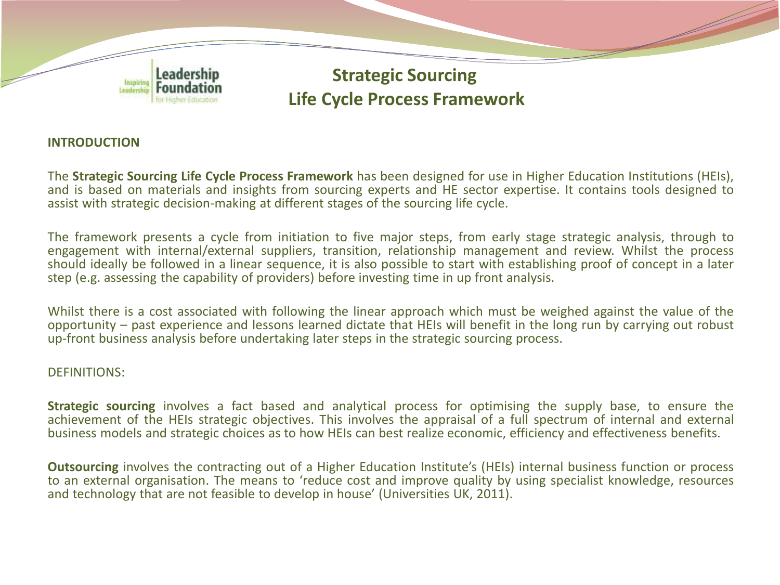

## **INTRODUCTION**

The **Strategic Sourcing Life Cycle Process Framework** has been designed for use in Higher Education Institutions (HEIs), and is based on materials and insights from sourcing experts and HE sector expertise. It contains tools designed to assist with strategic decision-making at different stages of the sourcing life cycle.

The framework presents a cycle from initiation to five major steps, from early stage strategic analysis, through to engagement with internal/external suppliers, transition, relationship management and review. Whilst the process should ideally be followed in a linear sequence, it is also possible to start with establishing proof of concept in a later step (e.g. assessing the capability of providers) before investing time in up front analysis.

Whilst there is a cost associated with following the linear approach which must be weighed against the value of the opportunity – past experience and lessons learned dictate that HEIs will benefit in the long run by carrying out robust up-front business analysis before undertaking later steps in the strategic sourcing process.

### DEFINITIONS:

**Strategic sourcing** involves a fact based and analytical process for optimising the supply base, to ensure the achievement of the HEIs strategic objectives. This involves the appraisal of a full spectrum of internal and external business models and strategic choices as to how HEIs can best realize economic, efficiency and effectiveness benefits.

**Outsourcing** involves the contracting out of a Higher Education Institute's (HEIs) internal business function or process to an external organisation. The means to 'reduce cost and improve quality by using specialist knowledge, resources and technology that are not feasible to develop in house' (Universities UK, 2011).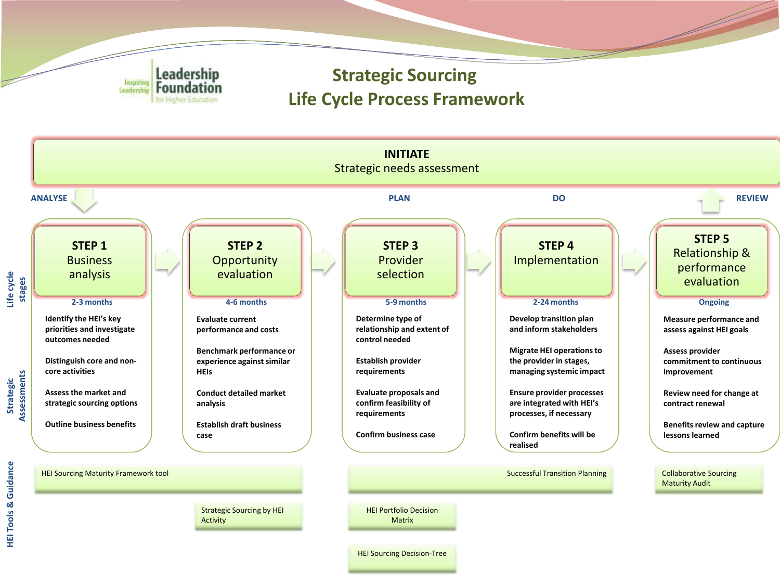

**HEI Tools & Guidance** 

**HEI Tools & Guidance** 

# **Strategic Sourcing Life Cycle Process Framework**



HEI Sourcing Decision-Tree